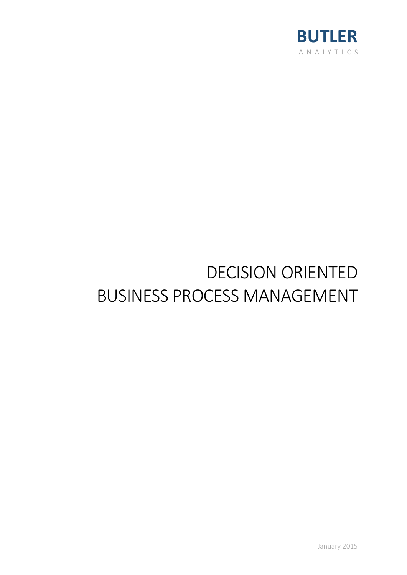

# DECISION ORIENTED BUSINESS PROCESS MANAGEMENT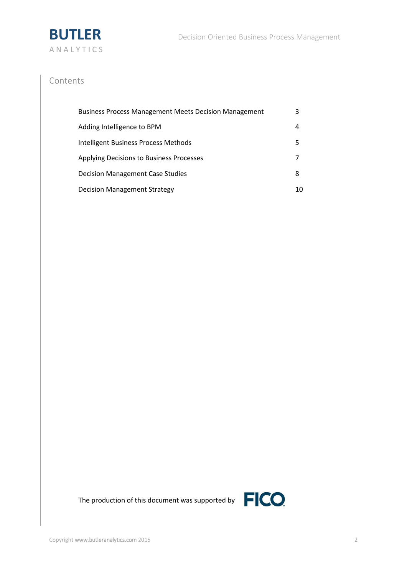

# Contents

| <b>Business Process Management Meets Decision Management</b> | 3  |
|--------------------------------------------------------------|----|
| Adding Intelligence to BPM                                   | 4  |
| Intelligent Business Process Methods                         | 5  |
| Applying Decisions to Business Processes                     |    |
| Decision Management Case Studies                             | 8  |
| <b>Decision Management Strategy</b>                          | 10 |



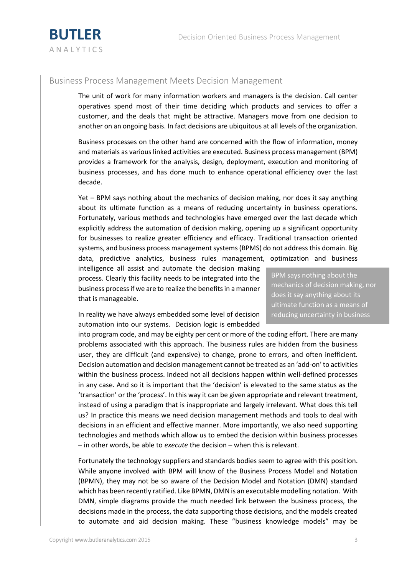

## Business Process Management Meets Decision Management

The unit of work for many information workers and managers is the decision. Call center operatives spend most of their time deciding which products and services to offer a customer, and the deals that might be attractive. Managers move from one decision to another on an ongoing basis. In fact decisions are ubiquitous at all levels of the organization.

Business processes on the other hand are concerned with the flow of information, money and materials as various linked activities are executed. Business process management (BPM) provides a framework for the analysis, design, deployment, execution and monitoring of business processes, and has done much to enhance operational efficiency over the last decade.

Yet – BPM says nothing about the mechanics of decision making, nor does it say anything about its ultimate function as a means of reducing uncertainty in business operations. Fortunately, various methods and technologies have emerged over the last decade which explicitly address the automation of decision making, opening up a significant opportunity for businesses to realize greater efficiency and efficacy. Traditional transaction oriented systems, and business process management systems (BPMS) do not address this domain. Big data, predictive analytics, business rules management, optimization and business

intelligence all assist and automate the decision making process. Clearly this facility needs to be integrated into the business process if we are to realize the benefits in a manner that is manageable.

mechanics of decision making, nor does it say anything about its ultimate function as a means of reducing uncertainty in business operations.

BPM says nothing about the

In reality we have always embedded some level of decision automation into our systems. Decision logic is embedded

into program code, and may be eighty per cent or more of the coding effort. There are many problems associated with this approach. The business rules are hidden from the business user, they are difficult (and expensive) to change, prone to errors, and often inefficient. Decision automation and decision management cannot be treated as an 'add-on' to activities within the business process. Indeed not all decisions happen within well-defined processes in any case. And so it is important that the 'decision' is elevated to the same status as the 'transaction' or the 'process'. In this way it can be given appropriate and relevant treatment, instead of using a paradigm that is inappropriate and largely irrelevant. What does this tell us? In practice this means we need decision management methods and tools to deal with decisions in an efficient and effective manner. More importantly, we also need supporting technologies and methods which allow us to embed the decision within business processes – in other words, be able to *execute* the decision – when this is relevant.

Fortunately the technology suppliers and standards bodies seem to agree with this position. While anyone involved with BPM will know of the Business Process Model and Notation (BPMN), they may not be so aware of the Decision Model and Notation (DMN) standard which has been recently ratified. Like BPMN, DMN is an executable modelling notation. With DMN, simple diagrams provide the much needed link between the business process, the decisions made in the process, the data supporting those decisions, and the models created to automate and aid decision making. These "business knowledge models" may be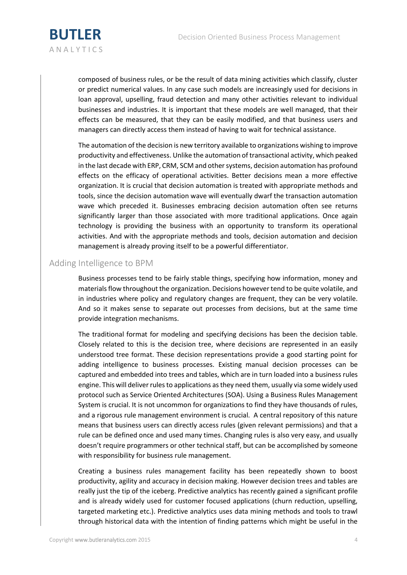

composed of business rules, or be the result of data mining activities which classify, cluster or predict numerical values. In any case such models are increasingly used for decisions in loan approval, upselling, fraud detection and many other activities relevant to individual businesses and industries. It is important that these models are well managed, that their effects can be measured, that they can be easily modified, and that business users and managers can directly access them instead of having to wait for technical assistance.

The automation of the decision is new territory available to organizations wishing to improve productivity and effectiveness. Unlike the automation of transactional activity, which peaked in the last decade with ERP, CRM, SCM and other systems, decision automation has profound effects on the efficacy of operational activities. Better decisions mean a more effective organization. It is crucial that decision automation is treated with appropriate methods and tools, since the decision automation wave will eventually dwarf the transaction automation wave which preceded it. Businesses embracing decision automation often see returns significantly larger than those associated with more traditional applications. Once again technology is providing the business with an opportunity to transform its operational activities. And with the appropriate methods and tools, decision automation and decision management is already proving itself to be a powerful differentiator.

#### Adding Intelligence to BPM

Business processes tend to be fairly stable things, specifying how information, money and materials flow throughout the organization. Decisions however tend to be quite volatile, and in industries where policy and regulatory changes are frequent, they can be very volatile. And so it makes sense to separate out processes from decisions, but at the same time provide integration mechanisms.

The traditional format for modeling and specifying decisions has been the decision table. Closely related to this is the decision tree, where decisions are represented in an easily understood tree format. These decision representations provide a good starting point for adding intelligence to business processes. Existing manual decision processes can be captured and embedded into trees and tables, which are in turn loaded into a business rules engine. This will deliver rules to applications as they need them, usually via some widely used protocol such as Service Oriented Architectures (SOA). Using a Business Rules Management System is crucial. It is not uncommon for organizations to find they have thousands of rules, and a rigorous rule management environment is crucial. A central repository of this nature means that business users can directly access rules (given relevant permissions) and that a rule can be defined once and used many times. Changing rules is also very easy, and usually doesn't require programmers or other technical staff, but can be accomplished by someone with responsibility for business rule management.

Creating a business rules management facility has been repeatedly shown to boost productivity, agility and accuracy in decision making. However decision trees and tables are really just the tip of the iceberg. Predictive analytics has recently gained a significant profile and is already widely used for customer focused applications (churn reduction, upselling, targeted marketing etc.). Predictive analytics uses data mining methods and tools to trawl through historical data with the intention of finding patterns which might be useful in the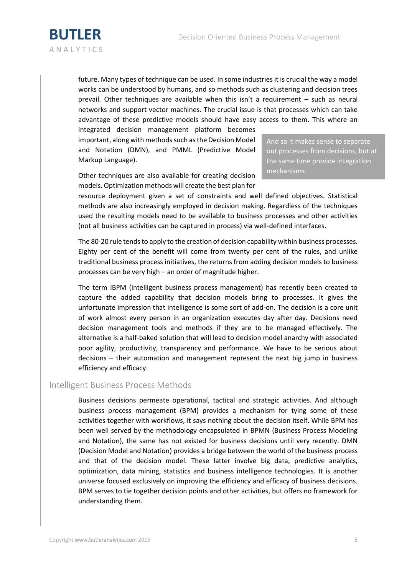

future. Many types of technique can be used. In some industries it is crucial the way a model works can be understood by humans, and so methods such as clustering and decision trees prevail. Other techniques are available when this isn't a requirement – such as neural networks and support vector machines. The crucial issue is that processes which can take advantage of these predictive models should have easy access to them. This where an

integrated decision management platform becomes important, along with methods such as the Decision Model and Notation (DMN), and PMML (Predictive Model Markup Language).

Other techniques are also available for creating decision models. Optimization methods will create the best plan for

And so it makes sense to separate out processes from decisions, but at the same time provide integration mechanisms.

resource deployment given a set of constraints and well defined objectives. Statistical methods are also increasingly employed in decision making. Regardless of the techniques used the resulting models need to be available to business processes and other activities (not all business activities can be captured in process) via well-defined interfaces.

The 80-20 rule tends to apply to the creation of decision capability within business processes. Eighty per cent of the benefit will come from twenty per cent of the rules, and unlike traditional business process initiatives, the returns from adding decision models to business processes can be very high – an order of magnitude higher.

The term iBPM (intelligent business process management) has recently been created to capture the added capability that decision models bring to processes. It gives the unfortunate impression that intelligence is some sort of add-on. The decision is a core unit of work almost every person in an organization executes day after day. Decisions need decision management tools and methods if they are to be managed effectively. The alternative is a half-baked solution that will lead to decision model anarchy with associated poor agility, productivity, transparency and performance. We have to be serious about decisions – their automation and management represent the next big jump in business efficiency and efficacy.

### Intelligent Business Process Methods

Business decisions permeate operational, tactical and strategic activities. And although business process management (BPM) provides a mechanism for tying some of these activities together with workflows, it says nothing about the decision itself. While BPM has been well served by the methodology encapsulated in BPMN (Business Process Modeling and Notation), the same has not existed for business decisions until very recently. DMN (Decision Model and Notation) provides a bridge between the world of the business process and that of the decision model. These latter involve big data, predictive analytics, optimization, data mining, statistics and business intelligence technologies. It is another universe focused exclusively on improving the efficiency and efficacy of business decisions. BPM serves to tie together decision points and other activities, but offers no framework for understanding them.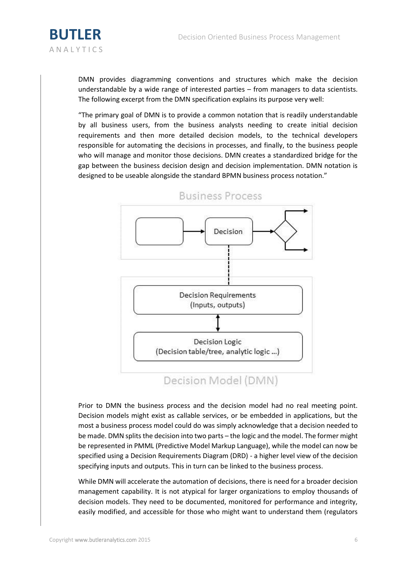

DMN provides diagramming conventions and structures which make the decision understandable by a wide range of interested parties – from managers to data scientists. The following excerpt from the DMN specification explains its purpose very well:

"The primary goal of DMN is to provide a common notation that is readily understandable by all business users, from the business analysts needing to create initial decision requirements and then more detailed decision models, to the technical developers responsible for automating the decisions in processes, and finally, to the business people who will manage and monitor those decisions. DMN creates a standardized bridge for the gap between the business decision design and decision implementation. DMN notation is designed to be useable alongside the standard BPMN business process notation."



**Business Process** 

Prior to DMN the business process and the decision model had no real meeting point. Decision models might exist as callable services, or be embedded in applications, but the most a business process model could do was simply acknowledge that a decision needed to be made. DMN splits the decision into two parts – the logic and the model. The former might be represented in PMML (Predictive Model Markup Language), while the model can now be specified using a Decision Requirements Diagram (DRD) - a higher level view of the decision specifying inputs and outputs. This in turn can be linked to the business process.

While DMN will accelerate the automation of decisions, there is need for a broader decision management capability. It is not atypical for larger organizations to employ thousands of decision models. They need to be documented, monitored for performance and integrity, easily modified, and accessible for those who might want to understand them (regulators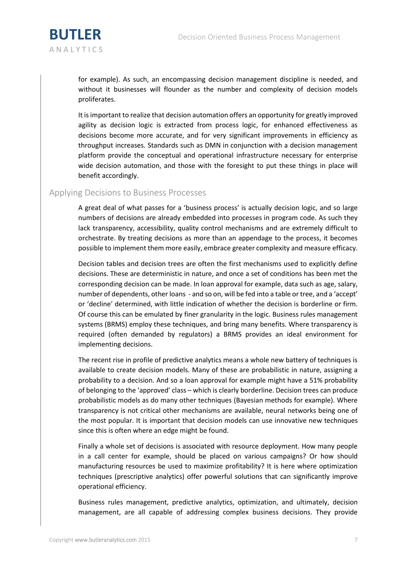

for example). As such, an encompassing decision management discipline is needed, and without it businesses will flounder as the number and complexity of decision models proliferates.

It is important to realize that decision automation offers an opportunity for greatly improved agility as decision logic is extracted from process logic, for enhanced effectiveness as decisions become more accurate, and for very significant improvements in efficiency as throughput increases. Standards such as DMN in conjunction with a decision management platform provide the conceptual and operational infrastructure necessary for enterprise wide decision automation, and those with the foresight to put these things in place will benefit accordingly.

#### Applying Decisions to Business Processes

A great deal of what passes for a 'business process' is actually decision logic, and so large numbers of decisions are already embedded into processes in program code. As such they lack transparency, accessibility, quality control mechanisms and are extremely difficult to orchestrate. By treating decisions as more than an appendage to the process, it becomes possible to implement them more easily, embrace greater complexity and measure efficacy.

Decision tables and decision trees are often the first mechanisms used to explicitly define decisions. These are deterministic in nature, and once a set of conditions has been met the corresponding decision can be made. In loan approval for example, data such as age, salary, number of dependents, other loans - and so on, will be fed into a table or tree, and a 'accept' or 'decline' determined, with little indication of whether the decision is borderline or firm. Of course this can be emulated by finer granularity in the logic. Business rules management systems (BRMS) employ these techniques, and bring many benefits. Where transparency is required (often demanded by regulators) a BRMS provides an ideal environment for implementing decisions.

The recent rise in profile of predictive analytics means a whole new battery of techniques is available to create decision models. Many of these are probabilistic in nature, assigning a probability to a decision. And so a loan approval for example might have a 51% probability of belonging to the 'approved' class – which is clearly borderline. Decision trees can produce probabilistic models as do many other techniques (Bayesian methods for example). Where transparency is not critical other mechanisms are available, neural networks being one of the most popular. It is important that decision models can use innovative new techniques since this is often where an edge might be found.

Finally a whole set of decisions is associated with resource deployment. How many people in a call center for example, should be placed on various campaigns? Or how should manufacturing resources be used to maximize profitability? It is here where optimization techniques (prescriptive analytics) offer powerful solutions that can significantly improve operational efficiency.

Business rules management, predictive analytics, optimization, and ultimately, decision management, are all capable of addressing complex business decisions. They provide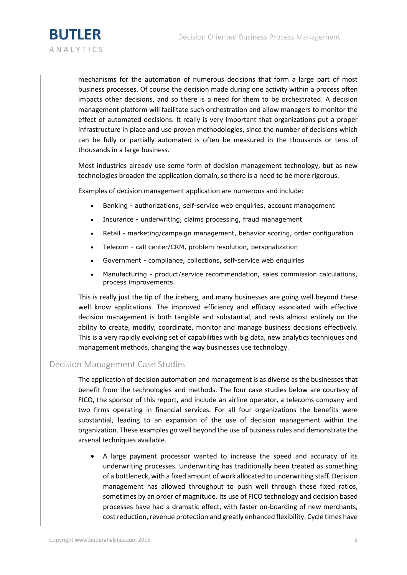

mechanisms for the automation of numerous decisions that form a large part of most business processes. Of course the decision made during one activity within a process often impacts other decisions, and so there is a need for them to be orchestrated. A decision management platform will facilitate such orchestration and allow managers to monitor the effect of automated decisions. It really is very important that organizations put a proper infrastructure in place and use proven methodologies, since the number of decisions which can be fully or partially automated is often be measured in the thousands or tens of thousands in a large business.

Most industries already use some form of decision management technology, but as new technologies broaden the application domain, so there is a need to be more rigorous.

Examples of decision management application are numerous and include:

- Banking authorizations, self-service web enquiries, account management
- Insurance underwriting, claims processing, fraud management
- Retail marketing/campaign management, behavior scoring, order configuration
- Telecom call center/CRM, problem resolution, personalization
- Government compliance, collections, self-service web enquiries
- Manufacturing product/service recommendation, sales commission calculations, process improvements.

This is really just the tip of the iceberg, and many businesses are going well beyond these well know applications. The improved efficiency and efficacy associated with effective decision management is both tangible and substantial, and rests almost entirely on the ability to create, modify, coordinate, monitor and manage business decisions effectively. This is a very rapidly evolving set of capabilities with big data, new analytics techniques and management methods, changing the way businesses use technology.

#### Decision Management Case Studies

The application of decision automation and management is as diverse as the businesses that benefit from the technologies and methods. The four case studies below are courtesy of FICO, the sponsor of this report, and include an airline operator, a telecoms company and two firms operating in financial services. For all four organizations the benefits were substantial, leading to an expansion of the use of decision management within the organization. These examples go well beyond the use of business rules and demonstrate the arsenal techniques available.

 A large payment processor wanted to increase the speed and accuracy of its underwriting processes. Underwriting has traditionally been treated as something of a bottleneck, with a fixed amount of work allocated to underwriting staff. Decision management has allowed throughput to push well through these fixed ratios, sometimes by an order of magnitude. Its use of FICO technology and decision based processes have had a dramatic effect, with faster on-boarding of new merchants, cost reduction, revenue protection and greatly enhanced flexibility. Cycle times have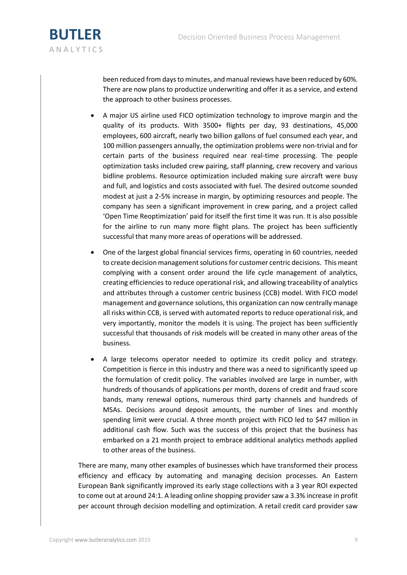

been reduced from days to minutes, and manual reviews have been reduced by 60%. There are now plans to productize underwriting and offer it as a service, and extend the approach to other business processes.

- A major US airline used FICO optimization technology to improve margin and the quality of its products. With 3500+ flights per day, 93 destinations, 45,000 employees, 600 aircraft, nearly two billion gallons of fuel consumed each year, and 100 million passengers annually, the optimization problems were non-trivial and for certain parts of the business required near real-time processing. The people optimization tasks included crew pairing, staff planning, crew recovery and various bidline problems. Resource optimization included making sure aircraft were busy and full, and logistics and costs associated with fuel. The desired outcome sounded modest at just a 2-5% increase in margin, by optimizing resources and people. The company has seen a significant improvement in crew paring, and a project called 'Open Time Reoptimization' paid for itself the first time it was run. It is also possible for the airline to run many more flight plans. The project has been sufficiently successful that many more areas of operations will be addressed.
- One of the largest global financial services firms, operating in 60 countries, needed to create decision management solutions for customer centric decisions. This meant complying with a consent order around the life cycle management of analytics, creating efficiencies to reduce operational risk, and allowing traceability of analytics and attributes through a customer centric business (CCB) model. With FICO model management and governance solutions, this organization can now centrally manage all risks within CCB, is served with automated reports to reduce operational risk, and very importantly, monitor the models it is using. The project has been sufficiently successful that thousands of risk models will be created in many other areas of the business.
- A large telecoms operator needed to optimize its credit policy and strategy. Competition is fierce in this industry and there was a need to significantly speed up the formulation of credit policy. The variables involved are large in number, with hundreds of thousands of applications per month, dozens of credit and fraud score bands, many renewal options, numerous third party channels and hundreds of MSAs. Decisions around deposit amounts, the number of lines and monthly spending limit were crucial. A three month project with FICO led to \$47 million in additional cash flow. Such was the success of this project that the business has embarked on a 21 month project to embrace additional analytics methods applied to other areas of the business.

There are many, many other examples of businesses which have transformed their process efficiency and efficacy by automating and managing decision processes. An Eastern European Bank significantly improved its early stage collections with a 3 year ROI expected to come out at around 24:1. A leading online shopping provider saw a 3.3% increase in profit per account through decision modelling and optimization. A retail credit card provider saw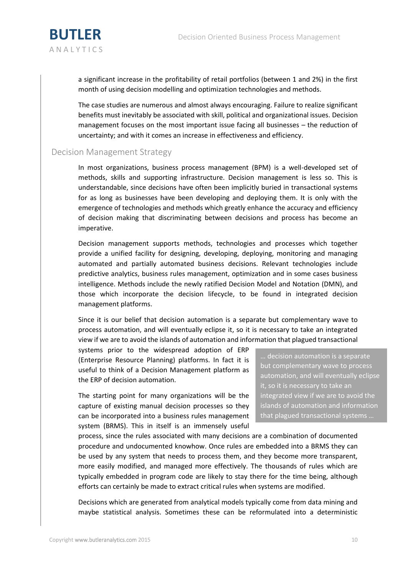

a significant increase in the profitability of retail portfolios (between 1 and 2%) in the first month of using decision modelling and optimization technologies and methods.

The case studies are numerous and almost always encouraging. Failure to realize significant benefits must inevitably be associated with skill, political and organizational issues. Decision management focuses on the most important issue facing all businesses – the reduction of uncertainty; and with it comes an increase in effectiveness and efficiency.

### Decision Management Strategy

In most organizations, business process management (BPM) is a well-developed set of methods, skills and supporting infrastructure. Decision management is less so. This is understandable, since decisions have often been implicitly buried in transactional systems for as long as businesses have been developing and deploying them. It is only with the emergence of technologies and methods which greatly enhance the accuracy and efficiency of decision making that discriminating between decisions and process has become an imperative.

Decision management supports methods, technologies and processes which together provide a unified facility for designing, developing, deploying, monitoring and managing automated and partially automated business decisions. Relevant technologies include predictive analytics, business rules management, optimization and in some cases business intelligence. Methods include the newly ratified Decision Model and Notation (DMN), and those which incorporate the decision lifecycle, to be found in integrated decision management platforms.

Since it is our belief that decision automation is a separate but complementary wave to process automation, and will eventually eclipse it, so it is necessary to take an integrated view if we are to avoid the islands of automation and information that plagued transactional

systems prior to the widespread adoption of ERP (Enterprise Resource Planning) platforms. In fact it is useful to think of a Decision Management platform as the ERP of decision automation.

The starting point for many organizations will be the capture of existing manual decision processes so they can be incorporated into a business rules management system (BRMS). This in itself is an immensely useful

… decision automation is a separate but complementary wave to process automation, and will eventually eclipse it, so it is necessary to take an integrated view if we are to avoid the islands of automation and information that plagued transactional systems …

process, since the rules associated with many decisions are a combination of documented procedure and undocumented knowhow. Once rules are embedded into a BRMS they can be used by any system that needs to process them, and they become more transparent, more easily modified, and managed more effectively. The thousands of rules which are typically embedded in program code are likely to stay there for the time being, although efforts can certainly be made to extract critical rules when systems are modified.

Decisions which are generated from analytical models typically come from data mining and maybe statistical analysis. Sometimes these can be reformulated into a deterministic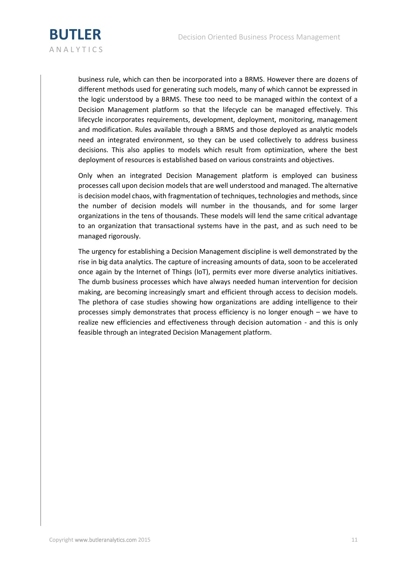

business rule, which can then be incorporated into a BRMS. However there are dozens of different methods used for generating such models, many of which cannot be expressed in the logic understood by a BRMS. These too need to be managed within the context of a Decision Management platform so that the lifecycle can be managed effectively. This lifecycle incorporates requirements, development, deployment, monitoring, management and modification. Rules available through a BRMS and those deployed as analytic models need an integrated environment, so they can be used collectively to address business decisions. This also applies to models which result from optimization, where the best deployment of resources is established based on various constraints and objectives.

Only when an integrated Decision Management platform is employed can business processes call upon decision models that are well understood and managed. The alternative is decision model chaos, with fragmentation of techniques, technologies and methods, since the number of decision models will number in the thousands, and for some larger organizations in the tens of thousands. These models will lend the same critical advantage to an organization that transactional systems have in the past, and as such need to be managed rigorously.

The urgency for establishing a Decision Management discipline is well demonstrated by the rise in big data analytics. The capture of increasing amounts of data, soon to be accelerated once again by the Internet of Things (IoT), permits ever more diverse analytics initiatives. The dumb business processes which have always needed human intervention for decision making, are becoming increasingly smart and efficient through access to decision models. The plethora of case studies showing how organizations are adding intelligence to their processes simply demonstrates that process efficiency is no longer enough – we have to realize new efficiencies and effectiveness through decision automation - and this is only feasible through an integrated Decision Management platform.